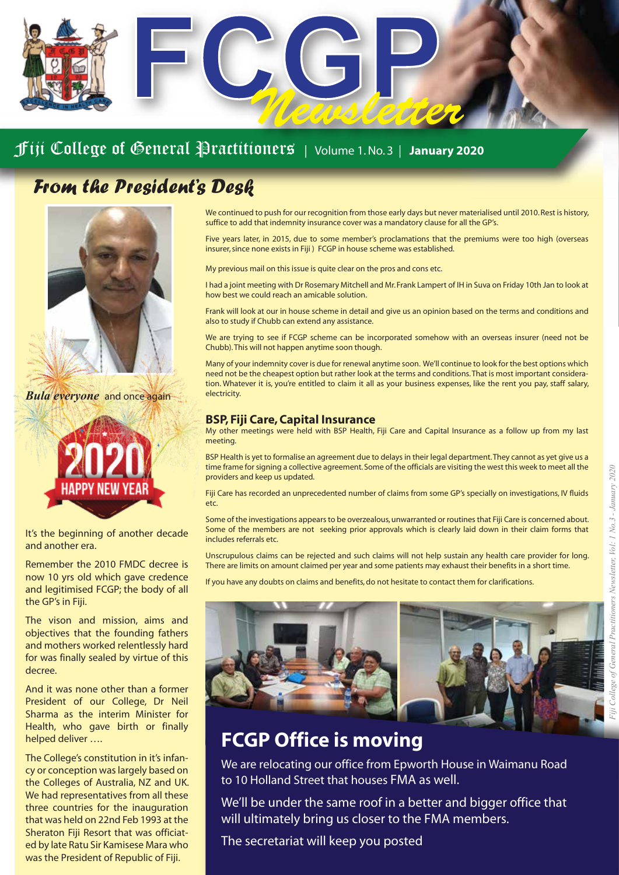# *Newsletter*

#### Fiji College of General Practitioners | Volume 1. No. 3 | **January 2020**

## *From the President's Desk*



*Bula everyone* and once again



It's the beginning of another decade and another era.

Remember the 2010 FMDC decree is now 10 yrs old which gave credence and legitimised FCGP; the body of all the GP's in Fiji.

The vison and mission, aims and objectives that the founding fathers and mothers worked relentlessly hard for was finally sealed by virtue of this decree.

And it was none other than a former President of our College, Dr Neil Sharma as the interim Minister for Health, who gave birth or finally helped deliver ….

The College's constitution in it's infancy or conception was largely based on the Colleges of Australia, NZ and UK. We had representatives from all these three countries for the inauguration that was held on 22nd Feb 1993 at the Sheraton Fiji Resort that was officiated by late Ratu Sir Kamisese Mara who was the President of Republic of Fiji.

We continued to push for our recognition from those early days but never materialised until 2010. Rest is history, suffice to add that indemnity insurance cover was a mandatory clause for all the GP's.

Five years later, in 2015, due to some member's proclamations that the premiums were too high (overseas insurer, since none exists in Fiji ) FCGP in house scheme was established.

My previous mail on this issue is quite clear on the pros and cons etc.

I had a joint meeting with Dr Rosemary Mitchell and Mr. Frank Lampert of IH in Suva on Friday 10th Jan to look at how best we could reach an amicable solution.

Frank will look at our in house scheme in detail and give us an opinion based on the terms and conditions and also to study if Chubb can extend any assistance.

We are trying to see if FCGP scheme can be incorporated somehow with an overseas insurer (need not be Chubb). This will not happen anytime soon though.

Many of your indemnity cover is due for renewal anytime soon. We'll continue to look for the best options which need not be the cheapest option but rather look at the terms and conditions. That is most important consideration. Whatever it is, you're entitled to claim it all as your business expenses, like the rent you pay, staff salary, electricity.

#### **BSP, Fiji Care, Capital Insurance**

My other meetings were held with BSP Health, Fiji Care and Capital Insurance as a follow up from my last meeting.

BSP Health is yet to formalise an agreement due to delays in their legal department. They cannot as yet give us a time frame for signing a collective agreement. Some of the officials are visiting the west this week to meet all the providers and keep us updated.

Fiji Care has recorded an unprecedented number of claims from some GP's specially on investigations, IV fluids etc.

Some of the investigations appears to be overzealous, unwarranted or routines that Fiji Care is concerned about. Some of the members are not seeking prior approvals which is clearly laid down in their claim forms that includes referrals etc.

Unscrupulous claims can be rejected and such claims will not help sustain any health care provider for long. There are limits on amount claimed per year and some patients may exhaust their benefits in a short time.

If you have any doubts on claims and benefits, do not hesitate to contact them for clarifications.



# **FCGP Office is moving**

We are relocating our office from Epworth House in Waimanu Road to 10 Holland Street that houses FMA as well.

We'll be under the same roof in a better and bigger office that will ultimately bring us closer to the FMA members.

The secretariat will keep you posted